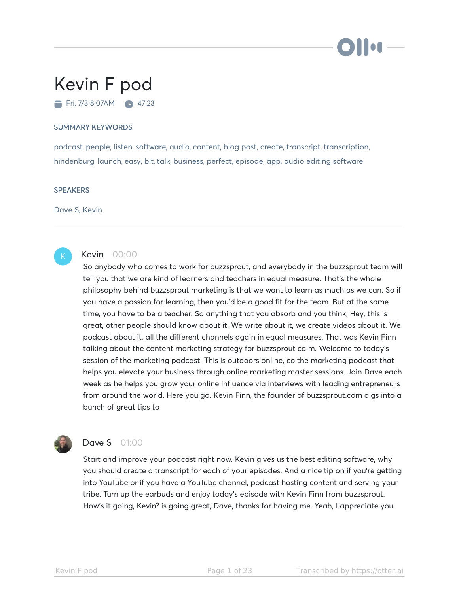

# Kevin F pod Fri, 7/3 8:07AM 47:23

#### SUMMARY KEYWORDS

podcast, people, listen, software, audio, content, blog post, create, transcript, transcription, hindenburg, launch, easy, bit, talk, business, perfect, episode, app, audio editing software

#### **SPEAKERS**

Dave S, Kevin



# Kevin 00:00

So anybody who comes to work for buzzsprout, and everybody in the buzzsprout team will tell you that we are kind of learners and teachers in equal measure. That's the whole philosophy behind buzzsprout marketing is that we want to learn as much as we can. So if you have a passion for learning, then you'd be a good fit for the team. But at the same time, you have to be a teacher. So anything that you absorb and you think, Hey, this is great, other people should know about it. We write about it, we create videos about it. We podcast about it, all the different channels again in equal measures. That was Kevin Finn talking about the content marketing strategy for buzzsprout calm. Welcome to today's session of the marketing podcast. This is outdoors online, co the marketing podcast that helps you elevate your business through online marketing master sessions. Join Dave each week as he helps you grow your online influence via interviews with leading entrepreneurs from around the world. Here you go. Kevin Finn, the founder of buzzsprout.com digs into a bunch of great tips to



# **Dave S** 01:00

Start and improve your podcast right now. Kevin gives us the best editing software, why you should create a transcript for each of your episodes. And a nice tip on if you're getting into YouTube or if you have a YouTube channel, podcast hosting content and serving your tribe. Turn up the earbuds and enjoy today's episode with Kevin Finn from buzzsprout. How's it going, Kevin? is going great, Dave, thanks for having me. Yeah, I appreciate you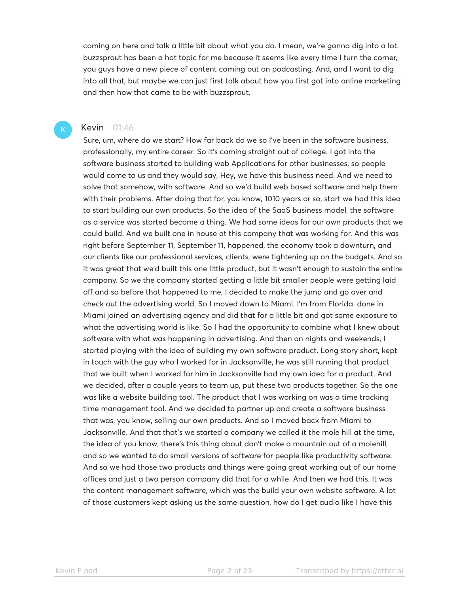coming on here and talk a little bit about what you do. I mean, we're gonna dig into a lot. buzzsprout has been a hot topic for me because it seems like every time I turn the corner, you guys have a new piece of content coming out on podcasting. And, and I want to dig into all that, but maybe we can just first talk about how you first got into online marketing and then how that came to be with buzzsprout.

#### **Kevin** 01:46

Sure, um, where do we start? How far back do we so I've been in the software business, professionally, my entire career. So it's coming straight out of college. I got into the software business started to building web Applications for other businesses, so people would come to us and they would say, Hey, we have this business need. And we need to solve that somehow, with software. And so we'd build web based software and help them with their problems. After doing that for, you know, 1010 years or so, start we had this idea to start building our own products. So the idea of the SaaS business model, the software as a service was started become a thing. We had some ideas for our own products that we could build. And we built one in house at this company that was working for. And this was right before September 11, September 11, happened, the economy took a downturn, and our clients like our professional services, clients, were tightening up on the budgets. And so it was great that we'd built this one little product, but it wasn't enough to sustain the entire company. So we the company started getting a little bit smaller people were getting laid off and so before that happened to me, I decided to make the jump and go over and check out the advertising world. So I moved down to Miami. I'm from Florida. done in Miami joined an advertising agency and did that for a little bit and got some exposure to what the advertising world is like. So I had the opportunity to combine what I knew about software with what was happening in advertising. And then on nights and weekends, I started playing with the idea of building my own software product. Long story short, kept in touch with the guy who I worked for in Jacksonville, he was still running that product that we built when I worked for him in Jacksonville had my own idea for a product. And we decided, after a couple years to team up, put these two products together. So the one was like a website building tool. The product that I was working on was a time tracking time management tool. And we decided to partner up and create a software business that was, you know, selling our own products. And so I moved back from Miami to Jacksonville. And that that's we started a company we called it the mole hill at the time, the idea of you know, there's this thing about don't make a mountain out of a molehill, and so we wanted to do small versions of software for people like productivity software. And so we had those two products and things were going great working out of our home offices and just a two person company did that for a while. And then we had this. It was the content management software, which was the build your own website software. A lot of those customers kept asking us the same question, how do I get audio like I have this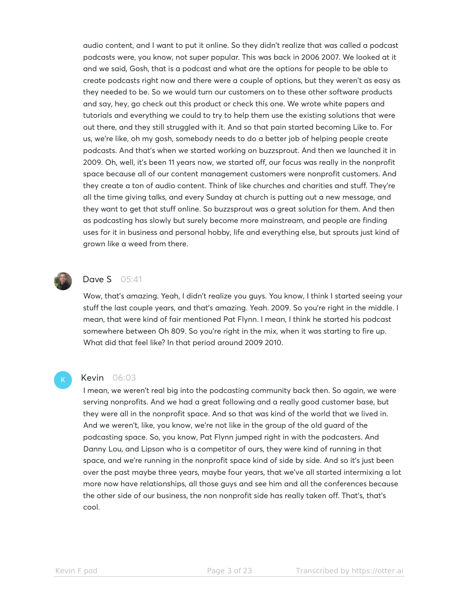audio content, and I want to put it online. So they didn't realize that was called a podcast podcasts were, you know, not super popular. This was back in 2006 2007. We looked at it and we said, Gosh, that is a podcast and what are the options for people to be able to create podcasts right now and there were a couple of options, but they weren't as easy as they needed to be. So we would turn our customers on to these other software products and say, hey, go check out this product or check this one. We wrote white papers and tutorials and everything we could to try to help them use the existing solutions that were out there, and they still struggled with it. And so that pain started becoming Like to. For us, we're like, oh my gosh, somebody needs to do a better job of helping people create podcasts. And that's when we started working on buzzsprout. And then we launched it in 2009. Oh, well, it's been 11 years now, we started off, our focus was really in the nonprofit space because all of our content management customers were nonprofit customers. And they create a ton of audio content. Think of like churches and charities and stuff. They're all the time giving talks, and every Sunday at church is putting out a new message, and they want to get that stuff online. So buzzsprout was a great solution for them. And then as podcasting has slowly but surely become more mainstream, and people are finding uses for it in business and personal hobby, life and everything else, but sprouts just kind of grown like a weed from there.



### **Dave S** 05:41

Wow, that's amazing. Yeah, I didn't realize you guys. You know, I think I started seeing your stuff the last couple years, and that's amazing. Yeah. 2009. So you're right in the middle. I mean, that were kind of fair mentioned Pat Flynn. I mean, I think he started his podcast somewhere between Oh 809. So you're right in the mix, when it was starting to fire up. What did that feel like? In that period around 2009 2010.

#### Kevin 06:03

I mean, we weren't real big into the podcasting community back then. So again, we were serving nonprofits. And we had a great following and a really good customer base, but they were all in the nonprofit space. And so that was kind of the world that we lived in. And we weren't, like, you know, we're not like in the group of the old guard of the podcasting space. So, you know, Pat Flynn jumped right in with the podcasters. And Danny Lou, and Lipson who is a competitor of ours, they were kind of running in that space, and we're running in the nonprofit space kind of side by side. And so it's just been over the past maybe three years, maybe four years, that we've all started intermixing a lot more now have relationships, all those guys and see him and all the conferences because the other side of our business, the non nonprofit side has really taken off. That's, that's cool.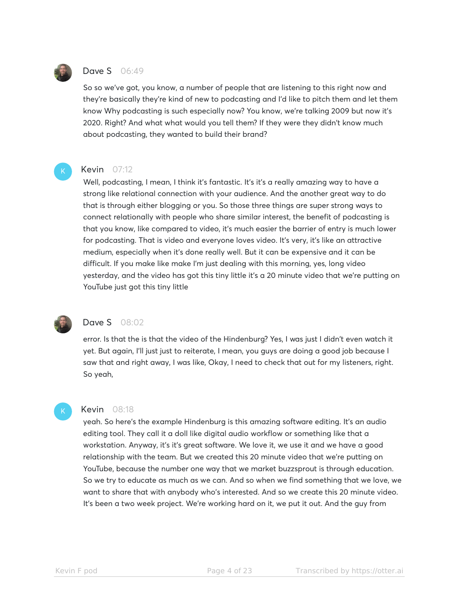

#### Dave S 06:49

So so we've got, you know, a number of people that are listening to this right now and they're basically they're kind of new to podcasting and I'd like to pitch them and let them know Why podcasting is such especially now? You know, we're talking 2009 but now it's 2020. Right? And what what would you tell them? If they were they didn't know much about podcasting, they wanted to build their brand?

#### **Kevin** 07:12

Well, podcasting, I mean, I think it's fantastic. It's it's a really amazing way to have a strong like relational connection with your audience. And the another great way to do that is through either blogging or you. So those three things are super strong ways to connect relationally with people who share similar interest, the benefit of podcasting is that you know, like compared to video, it's much easier the barrier of entry is much lower for podcasting. That is video and everyone loves video. It's very, it's like an attractive medium, especially when it's done really well. But it can be expensive and it can be difficult. If you make like make I'm just dealing with this morning, yes, long video yesterday, and the video has got this tiny little it's a 20 minute video that we're putting on YouTube just got this tiny little



# Dave S 08:02

error. Is that the is that the video of the Hindenburg? Yes, I was just I didn't even watch it yet. But again, I'll just just to reiterate, I mean, you guys are doing a good job because I saw that and right away, I was like, Okay, I need to check that out for my listeners, right. So yeah,

#### Kevin 08:18

yeah. So here's the example Hindenburg is this amazing software editing. It's an audio editing tool. They call it a doll like digital audio workflow or something like that a workstation. Anyway, it's it's great software. We love it, we use it and we have a good relationship with the team. But we created this 20 minute video that we're putting on YouTube, because the number one way that we market buzzsprout is through education. So we try to educate as much as we can. And so when we find something that we love, we want to share that with anybody who's interested. And so we create this 20 minute video. It's been a two week project. We're working hard on it, we put it out. And the guy from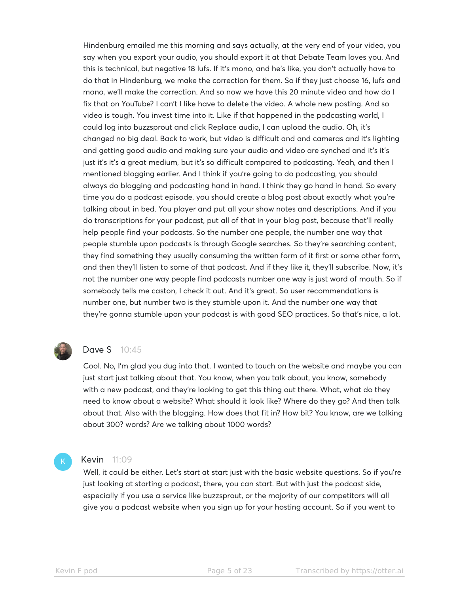Hindenburg emailed me this morning and says actually, at the very end of your video, you say when you export your audio, you should export it at that Debate Team loves you. And this is technical, but negative 18 lufs. If it's mono, and he's like, you don't actually have to do that in Hindenburg, we make the correction for them. So if they just choose 16, lufs and mono, we'll make the correction. And so now we have this 20 minute video and how do I fix that on YouTube? I can't I like have to delete the video. A whole new posting. And so video is tough. You invest time into it. Like if that happened in the podcasting world, I could log into buzzsprout and click Replace audio, I can upload the audio. Oh, it's changed no big deal. Back to work, but video is difficult and and cameras and it's lighting and getting good audio and making sure your audio and video are synched and it's it's just it's it's a great medium, but it's so difficult compared to podcasting. Yeah, and then I mentioned blogging earlier. And I think if you're going to do podcasting, you should always do blogging and podcasting hand in hand. I think they go hand in hand. So every time you do a podcast episode, you should create a blog post about exactly what you're talking about in bed. You player and put all your show notes and descriptions. And if you do transcriptions for your podcast, put all of that in your blog post, because that'll really help people find your podcasts. So the number one people, the number one way that people stumble upon podcasts is through Google searches. So they're searching content, they find something they usually consuming the written form of it first or some other form, and then they'll listen to some of that podcast. And if they like it, they'll subscribe. Now, it's not the number one way people find podcasts number one way is just word of mouth. So if somebody tells me caston, I check it out. And it's great. So user recommendations is number one, but number two is they stumble upon it. And the number one way that they're gonna stumble upon your podcast is with good SEO practices. So that's nice, a lot.



# Dave S 10:45

Cool. No, I'm glad you dug into that. I wanted to touch on the website and maybe you can just start just talking about that. You know, when you talk about, you know, somebody with a new podcast, and they're looking to get this thing out there. What, what do they need to know about a website? What should it look like? Where do they go? And then talk about that. Also with the blogging. How does that fit in? How bit? You know, are we talking about 300? words? Are we talking about 1000 words?

#### **Kevin** 11:09

Well, it could be either. Let's start at start just with the basic website questions. So if you're just looking at starting a podcast, there, you can start. But with just the podcast side, especially if you use a service like buzzsprout, or the majority of our competitors will all give you a podcast website when you sign up for your hosting account. So if you went to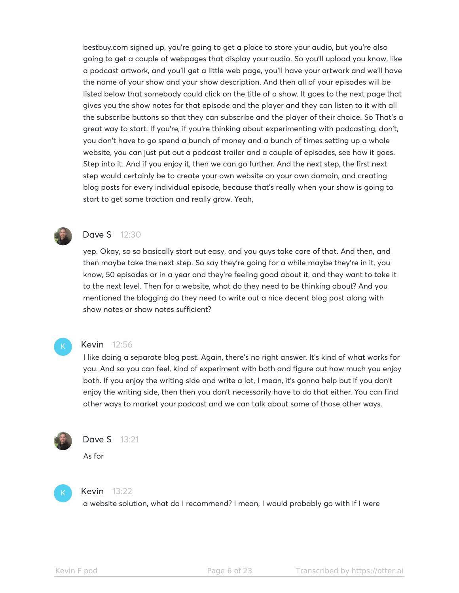bestbuy.com signed up, you're going to get a place to store your audio, but you're also going to get a couple of webpages that display your audio. So you'll upload you know, like a podcast artwork, and you'll get a little web page, you'll have your artwork and we'll have the name of your show and your show description. And then all of your episodes will be listed below that somebody could click on the title of a show. It goes to the next page that gives you the show notes for that episode and the player and they can listen to it with all the subscribe buttons so that they can subscribe and the player of their choice. So That's a great way to start. If you're, if you're thinking about experimenting with podcasting, don't, you don't have to go spend a bunch of money and a bunch of times setting up a whole website, you can just put out a podcast trailer and a couple of episodes, see how it goes. Step into it. And if you enjoy it, then we can go further. And the next step, the first next step would certainly be to create your own website on your own domain, and creating blog posts for every individual episode, because that's really when your show is going to start to get some traction and really grow. Yeah,



# **Dave S** 12:30

yep. Okay, so so basically start out easy, and you guys take care of that. And then, and then maybe take the next step. So say they're going for a while maybe they're in it, you know, 50 episodes or in a year and they're feeling good about it, and they want to take it to the next level. Then for a website, what do they need to be thinking about? And you mentioned the blogging do they need to write out a nice decent blog post along with show notes or show notes sufficient?



#### Kevin 12:56

I like doing a separate blog post. Again, there's no right answer. It's kind of what works for you. And so you can feel, kind of experiment with both and figure out how much you enjoy both. If you enjoy the writing side and write a lot, I mean, it's gonna help but if you don't enjoy the writing side, then then you don't necessarily have to do that either. You can find other ways to market your podcast and we can talk about some of those other ways.



#### Dave S 13:21

As for



#### Kevin 13:22

a website solution, what do I recommend? I mean, I would probably go with if I were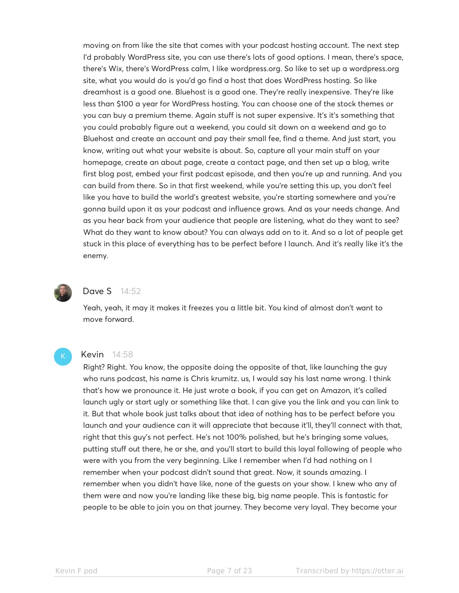moving on from like the site that comes with your podcast hosting account. The next step I'd probably WordPress site, you can use there's lots of good options. I mean, there's space, there's Wix, there's WordPress calm, I like wordpress.org. So like to set up a wordpress.org site, what you would do is you'd go find a host that does WordPress hosting. So like dreamhost is a good one. Bluehost is a good one. They're really inexpensive. They're like less than \$100 a year for WordPress hosting. You can choose one of the stock themes or you can buy a premium theme. Again stuff is not super expensive. It's it's something that you could probably figure out a weekend, you could sit down on a weekend and go to Bluehost and create an account and pay their small fee, find a theme. And just start, you know, writing out what your website is about. So, capture all your main stuff on your homepage, create an about page, create a contact page, and then set up a blog, write first blog post, embed your first podcast episode, and then you're up and running. And you can build from there. So in that first weekend, while you're setting this up, you don't feel like you have to build the world's greatest website, you're starting somewhere and you're gonna build upon it as your podcast and influence grows. And as your needs change. And as you hear back from your audience that people are listening, what do they want to see? What do they want to know about? You can always add on to it. And so a lot of people get stuck in this place of everything has to be perfect before I launch. And it's really like it's the enemy.



#### Dave S 14:52

Yeah, yeah, it may it makes it freezes you a little bit. You kind of almost don't want to move forward.

#### Kevin 14:58

Right? Right. You know, the opposite doing the opposite of that, like launching the guy who runs podcast, his name is Chris krumitz. us, I would say his last name wrong. I think that's how we pronounce it. He just wrote a book, if you can get on Amazon, it's called launch ugly or start ugly or something like that. I can give you the link and you can link to it. But that whole book just talks about that idea of nothing has to be perfect before you launch and your audience can it will appreciate that because it'll, they'll connect with that, right that this guy's not perfect. He's not 100% polished, but he's bringing some values, putting stuff out there, he or she, and you'll start to build this loyal following of people who were with you from the very beginning. Like I remember when I'd had nothing on I remember when your podcast didn't sound that great. Now, it sounds amazing. I remember when you didn't have like, none of the guests on your show. I knew who any of them were and now you're landing like these big, big name people. This is fantastic for people to be able to join you on that journey. They become very loyal. They become your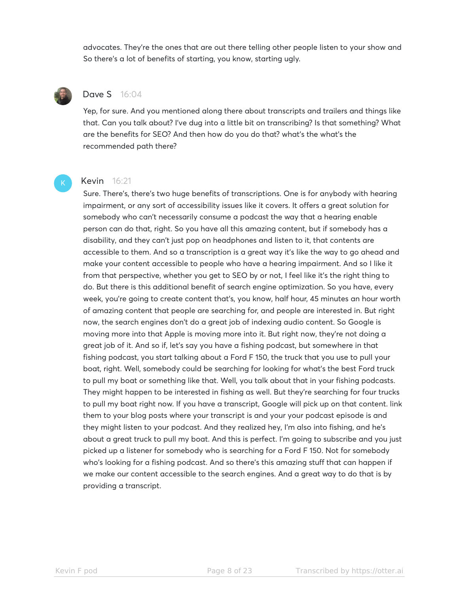advocates. They're the ones that are out there telling other people listen to your show and So there's a lot of benefits of starting, you know, starting ugly.



### Dave S 16:04

Yep, for sure. And you mentioned along there about transcripts and trailers and things like that. Can you talk about? I've dug into a little bit on transcribing? Is that something? What are the benefits for SEO? And then how do you do that? what's the what's the recommended path there?



# Kevin 16:21

Sure. There's, there's two huge benefits of transcriptions. One is for anybody with hearing impairment, or any sort of accessibility issues like it covers. It offers a great solution for somebody who can't necessarily consume a podcast the way that a hearing enable person can do that, right. So you have all this amazing content, but if somebody has a disability, and they can't just pop on headphones and listen to it, that contents are accessible to them. And so a transcription is a great way it's like the way to go ahead and make your content accessible to people who have a hearing impairment. And so I like it from that perspective, whether you get to SEO by or not, I feel like it's the right thing to do. But there is this additional benefit of search engine optimization. So you have, every week, you're going to create content that's, you know, half hour, 45 minutes an hour worth of amazing content that people are searching for, and people are interested in. But right now, the search engines don't do a great job of indexing audio content. So Google is moving more into that Apple is moving more into it. But right now, they're not doing a great job of it. And so if, let's say you have a fishing podcast, but somewhere in that fishing podcast, you start talking about a Ford F 150, the truck that you use to pull your boat, right. Well, somebody could be searching for looking for what's the best Ford truck to pull my boat or something like that. Well, you talk about that in your fishing podcasts. They might happen to be interested in fishing as well. But they're searching for four trucks to pull my boat right now. If you have a transcript, Google will pick up on that content. link them to your blog posts where your transcript is and your your podcast episode is and they might listen to your podcast. And they realized hey, I'm also into fishing, and he's about a great truck to pull my boat. And this is perfect. I'm going to subscribe and you just picked up a listener for somebody who is searching for a Ford F 150. Not for somebody who's looking for a fishing podcast. And so there's this amazing stuff that can happen if we make our content accessible to the search engines. And a great way to do that is by providing a transcript.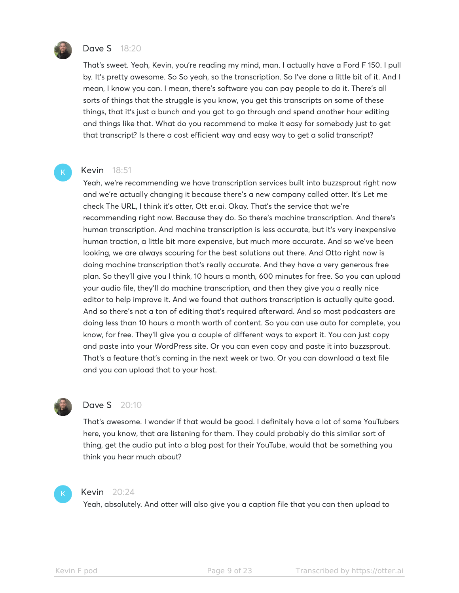

#### **Dave S** 18:20

That's sweet. Yeah, Kevin, you're reading my mind, man. I actually have a Ford F 150. I pull by. It's pretty awesome. So So yeah, so the transcription. So I've done a little bit of it. And I mean, I know you can. I mean, there's software you can pay people to do it. There's all sorts of things that the struggle is you know, you get this transcripts on some of these things, that it's just a bunch and you got to go through and spend another hour editing and things like that. What do you recommend to make it easy for somebody just to get that transcript? Is there a cost efficient way and easy way to get a solid transcript?

#### Kevin 18:51

Yeah, we're recommending we have transcription services built into buzzsprout right now and we're actually changing it because there's a new company called otter. It's Let me check The URL, I think it's otter, Ott er.ai. Okay. That's the service that we're recommending right now. Because they do. So there's machine transcription. And there's human transcription. And machine transcription is less accurate, but it's very inexpensive human traction, a little bit more expensive, but much more accurate. And so we've been looking, we are always scouring for the best solutions out there. And Otto right now is doing machine transcription that's really accurate. And they have a very generous free plan. So they'll give you I think, 10 hours a month, 600 minutes for free. So you can upload your audio file, they'll do machine transcription, and then they give you a really nice editor to help improve it. And we found that authors transcription is actually quite good. And so there's not a ton of editing that's required afterward. And so most podcasters are doing less than 10 hours a month worth of content. So you can use auto for complete, you know, for free. They'll give you a couple of different ways to export it. You can just copy and paste into your WordPress site. Or you can even copy and paste it into buzzsprout. That's a feature that's coming in the next week or two. Or you can download a text file and you can upload that to your host.



#### Dave S 20:10

That's awesome. I wonder if that would be good. I definitely have a lot of some YouTubers here, you know, that are listening for them. They could probably do this similar sort of thing, get the audio put into a blog post for their YouTube, would that be something you think you hear much about?



#### Kevin 20:24

Yeah, absolutely. And otter will also give you a caption file that you can then upload to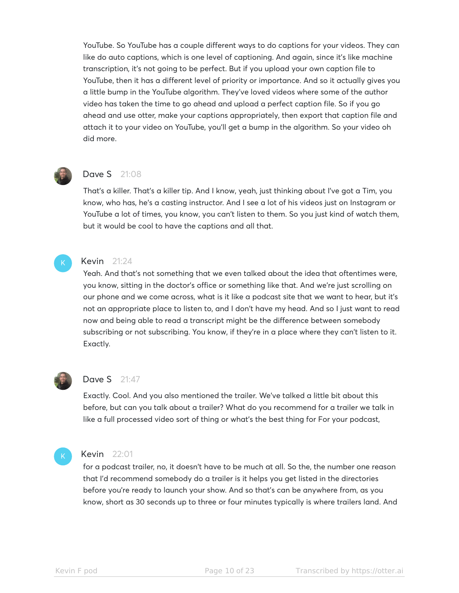YouTube. So YouTube has a couple different ways to do captions for your videos. They can like do auto captions, which is one level of captioning. And again, since it's like machine transcription, it's not going to be perfect. But if you upload your own caption file to YouTube, then it has a different level of priority or importance. And so it actually gives you a little bump in the YouTube algorithm. They've loved videos where some of the author video has taken the time to go ahead and upload a perfect caption file. So if you go ahead and use otter, make your captions appropriately, then export that caption file and attach it to your video on YouTube, you'll get a bump in the algorithm. So your video oh did more.



# Dave S 21:08

That's a killer. That's a killer tip. And I know, yeah, just thinking about I've got a Tim, you know, who has, he's a casting instructor. And I see a lot of his videos just on Instagram or YouTube a lot of times, you know, you can't listen to them. So you just kind of watch them, but it would be cool to have the captions and all that.



#### Kevin 21:24

Yeah. And that's not something that we even talked about the idea that oftentimes were, you know, sitting in the doctor's office or something like that. And we're just scrolling on our phone and we come across, what is it like a podcast site that we want to hear, but it's not an appropriate place to listen to, and I don't have my head. And so I just want to read now and being able to read a transcript might be the difference between somebody subscribing or not subscribing. You know, if they're in a place where they can't listen to it. Exactly.



#### **Dave S** 21:47

Exactly. Cool. And you also mentioned the trailer. We've talked a little bit about this before, but can you talk about a trailer? What do you recommend for a trailer we talk in like a full processed video sort of thing or what's the best thing for For your podcast,



#### Kevin 22:01

for a podcast trailer, no, it doesn't have to be much at all. So the, the number one reason that I'd recommend somebody do a trailer is it helps you get listed in the directories before you're ready to launch your show. And so that's can be anywhere from, as you know, short as 30 seconds up to three or four minutes typically is where trailers land. And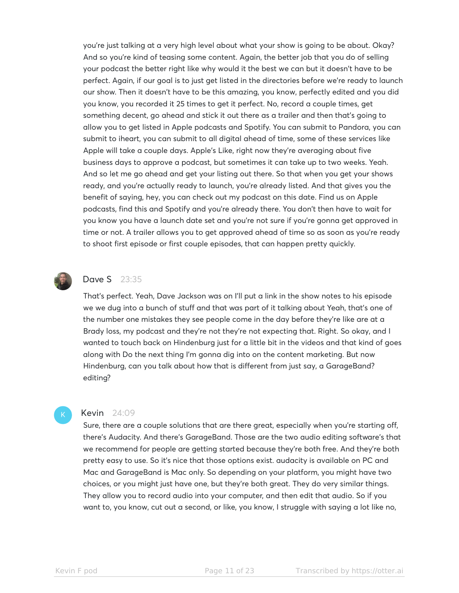you're just talking at a very high level about what your show is going to be about. Okay? And so you're kind of teasing some content. Again, the better job that you do of selling your podcast the better right like why would it the best we can but it doesn't have to be perfect. Again, if our goal is to just get listed in the directories before we're ready to launch our show. Then it doesn't have to be this amazing, you know, perfectly edited and you did you know, you recorded it 25 times to get it perfect. No, record a couple times, get something decent, go ahead and stick it out there as a trailer and then that's going to allow you to get listed in Apple podcasts and Spotify. You can submit to Pandora, you can submit to iheart, you can submit to all digital ahead of time, some of these services like Apple will take a couple days. Apple's Like, right now they're averaging about five business days to approve a podcast, but sometimes it can take up to two weeks. Yeah. And so let me go ahead and get your listing out there. So that when you get your shows ready, and you're actually ready to launch, you're already listed. And that gives you the benefit of saying, hey, you can check out my podcast on this date. Find us on Apple podcasts, find this and Spotify and you're already there. You don't then have to wait for you know you have a launch date set and you're not sure if you're gonna get approved in time or not. A trailer allows you to get approved ahead of time so as soon as you're ready to shoot first episode or first couple episodes, that can happen pretty quickly.



### **Dave S** 23:35

That's perfect. Yeah, Dave Jackson was on I'll put a link in the show notes to his episode we we dug into a bunch of stuff and that was part of it talking about Yeah, that's one of the number one mistakes they see people come in the day before they're like are at a Brady loss, my podcast and they're not they're not expecting that. Right. So okay, and I wanted to touch back on Hindenburg just for a little bit in the videos and that kind of goes along with Do the next thing I'm gonna dig into on the content marketing. But now Hindenburg, can you talk about how that is different from just say, a GarageBand? editing?

#### Kevin 24:09

Sure, there are a couple solutions that are there great, especially when you're starting off, there's Audacity. And there's GarageBand. Those are the two audio editing software's that we recommend for people are getting started because they're both free. And they're both pretty easy to use. So it's nice that those options exist. audacity is available on PC and Mac and GarageBand is Mac only. So depending on your platform, you might have two choices, or you might just have one, but they're both great. They do very similar things. They allow you to record audio into your computer, and then edit that audio. So if you want to, you know, cut out a second, or like, you know, I struggle with saying a lot like no,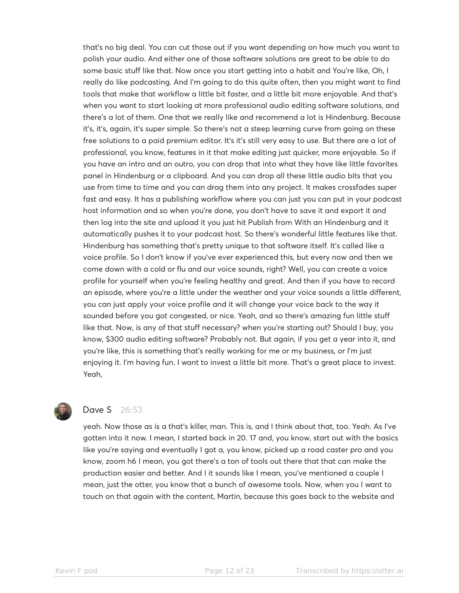that's no big deal. You can cut those out if you want depending on how much you want to polish your audio. And either one of those software solutions are great to be able to do some basic stuff like that. Now once you start getting into a habit and You're like, Oh, I really do like podcasting. And I'm going to do this quite often, then you might want to find tools that make that workflow a little bit faster, and a little bit more enjoyable. And that's when you want to start looking at more professional audio editing software solutions, and there's a lot of them. One that we really like and recommend a lot is Hindenburg. Because it's, it's, again, it's super simple. So there's not a steep learning curve from going on these free solutions to a paid premium editor. It's it's still very easy to use. But there are a lot of professional, you know, features in it that make editing just quicker, more enjoyable. So if you have an intro and an outro, you can drop that into what they have like little favorites panel in Hindenburg or a clipboard. And you can drop all these little audio bits that you use from time to time and you can drag them into any project. It makes crossfades super fast and easy. It has a publishing workflow where you can just you can put in your podcast host information and so when you're done, you don't have to save it and export it and then log into the site and upload it you just hit Publish from With an Hindenburg and it automatically pushes it to your podcast host. So there's wonderful little features like that. Hindenburg has something that's pretty unique to that software itself. It's called like a voice profile. So I don't know if you've ever experienced this, but every now and then we come down with a cold or flu and our voice sounds, right? Well, you can create a voice profile for yourself when you're feeling healthy and great. And then if you have to record an episode, where you're a little under the weather and your voice sounds a little different, you can just apply your voice profile and it will change your voice back to the way it sounded before you got congested, or nice. Yeah, and so there's amazing fun little stuff like that. Now, is any of that stuff necessary? when you're starting out? Should I buy, you know, \$300 audio editing software? Probably not. But again, if you get a year into it, and you're like, this is something that's really working for me or my business, or I'm just enjoying it. I'm having fun. I want to invest a little bit more. That's a great place to invest. Yeah,



# Dave S 26:53

yeah. Now those as is a that's killer, man. This is, and I think about that, too. Yeah. As I've gotten into it now. I mean, I started back in 20. 17 and, you know, start out with the basics like you're saying and eventually I got a, you know, picked up a road caster pro and you know, zoom h6 I mean, you got there's a ton of tools out there that that can make the production easier and better. And I it sounds like I mean, you've mentioned a couple I mean, just the otter, you know that a bunch of awesome tools. Now, when you I want to touch on that again with the content, Martin, because this goes back to the website and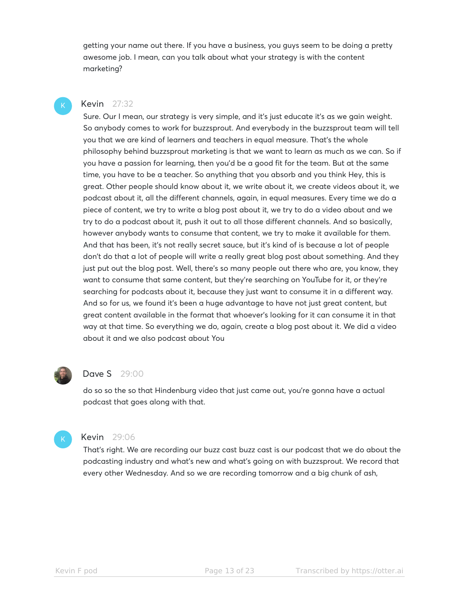getting your name out there. If you have a business, you guys seem to be doing a pretty awesome job. I mean, can you talk about what your strategy is with the content marketing?

#### Kevin 27:32

Sure. Our I mean, our strategy is very simple, and it's just educate it's as we gain weight. So anybody comes to work for buzzsprout. And everybody in the buzzsprout team will tell you that we are kind of learners and teachers in equal measure. That's the whole philosophy behind buzzsprout marketing is that we want to learn as much as we can. So if you have a passion for learning, then you'd be a good fit for the team. But at the same time, you have to be a teacher. So anything that you absorb and you think Hey, this is great. Other people should know about it, we write about it, we create videos about it, we podcast about it, all the different channels, again, in equal measures. Every time we do a piece of content, we try to write a blog post about it, we try to do a video about and we try to do a podcast about it, push it out to all those different channels. And so basically, however anybody wants to consume that content, we try to make it available for them. And that has been, it's not really secret sauce, but it's kind of is because a lot of people don't do that a lot of people will write a really great blog post about something. And they just put out the blog post. Well, there's so many people out there who are, you know, they want to consume that same content, but they're searching on YouTube for it, or they're searching for podcasts about it, because they just want to consume it in a different way. And so for us, we found it's been a huge advantage to have not just great content, but great content available in the format that whoever's looking for it can consume it in that way at that time. So everything we do, again, create a blog post about it. We did a video about it and we also podcast about You



#### **Dave S** 29:00

do so so the so that Hindenburg video that just came out, you're gonna have a actual podcast that goes along with that.



#### Kevin 29:06

That's right. We are recording our buzz cast buzz cast is our podcast that we do about the podcasting industry and what's new and what's going on with buzzsprout. We record that every other Wednesday. And so we are recording tomorrow and a big chunk of ash,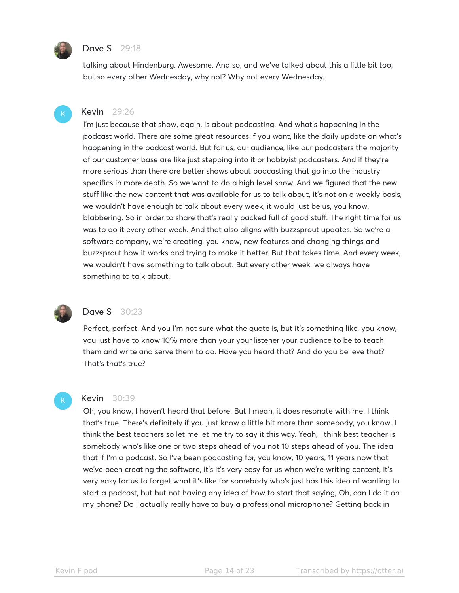

#### **Dave S** 29:18

talking about Hindenburg. Awesome. And so, and we've talked about this a little bit too, but so every other Wednesday, why not? Why not every Wednesday.



#### Kevin 29:26

I'm just because that show, again, is about podcasting. And what's happening in the podcast world. There are some great resources if you want, like the daily update on what's happening in the podcast world. But for us, our audience, like our podcasters the majority of our customer base are like just stepping into it or hobbyist podcasters. And if they're more serious than there are better shows about podcasting that go into the industry specifics in more depth. So we want to do a high level show. And we figured that the new stuff like the new content that was available for us to talk about, it's not on a weekly basis, we wouldn't have enough to talk about every week, it would just be us, you know, blabbering. So in order to share that's really packed full of good stuff. The right time for us was to do it every other week. And that also aligns with buzzsprout updates. So we're a software company, we're creating, you know, new features and changing things and buzzsprout how it works and trying to make it better. But that takes time. And every week, we wouldn't have something to talk about. But every other week, we always have something to talk about.



#### **Dave S** 30:23

Perfect, perfect. And you I'm not sure what the quote is, but it's something like, you know, you just have to know 10% more than your your listener your audience to be to teach them and write and serve them to do. Have you heard that? And do you believe that? That's that's true?

#### Kevin 30:39

Oh, you know, I haven't heard that before. But I mean, it does resonate with me. I think that's true. There's definitely if you just know a little bit more than somebody, you know, I think the best teachers so let me let me try to say it this way. Yeah, I think best teacher is somebody who's like one or two steps ahead of you not 10 steps ahead of you. The idea that if I'm a podcast. So I've been podcasting for, you know, 10 years, 11 years now that we've been creating the software, it's it's very easy for us when we're writing content, it's very easy for us to forget what it's like for somebody who's just has this idea of wanting to start a podcast, but but not having any idea of how to start that saying, Oh, can I do it on my phone? Do I actually really have to buy a professional microphone? Getting back in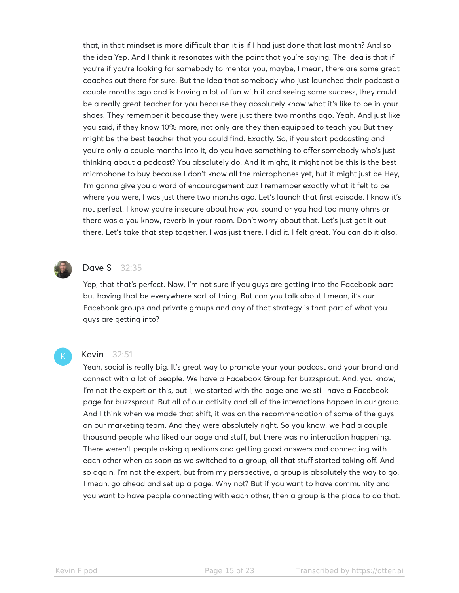that, in that mindset is more difficult than it is if I had just done that last month? And so the idea Yep. And I think it resonates with the point that you're saying. The idea is that if you're if you're looking for somebody to mentor you, maybe, I mean, there are some great coaches out there for sure. But the idea that somebody who just launched their podcast a couple months ago and is having a lot of fun with it and seeing some success, they could be a really great teacher for you because they absolutely know what it's like to be in your shoes. They remember it because they were just there two months ago. Yeah. And just like you said, if they know 10% more, not only are they then equipped to teach you But they might be the best teacher that you could find. Exactly. So, if you start podcasting and you're only a couple months into it, do you have something to offer somebody who's just thinking about a podcast? You absolutely do. And it might, it might not be this is the best microphone to buy because I don't know all the microphones yet, but it might just be Hey, I'm gonna give you a word of encouragement cuz I remember exactly what it felt to be where you were, I was just there two months ago. Let's launch that first episode. I know it's not perfect. I know you're insecure about how you sound or you had too many ohms or there was a you know, reverb in your room. Don't worry about that. Let's just get it out there. Let's take that step together. I was just there. I did it. I felt great. You can do it also.



# Dave S 32:35

Yep, that that's perfect. Now, I'm not sure if you guys are getting into the Facebook part but having that be everywhere sort of thing. But can you talk about I mean, it's our Facebook groups and private groups and any of that strategy is that part of what you guys are getting into?

#### Kevin 32:51

Yeah, social is really big. It's great way to promote your your podcast and your brand and connect with a lot of people. We have a Facebook Group for buzzsprout. And, you know, I'm not the expert on this, but I, we started with the page and we still have a Facebook page for buzzsprout. But all of our activity and all of the interactions happen in our group. And I think when we made that shift, it was on the recommendation of some of the guys on our marketing team. And they were absolutely right. So you know, we had a couple thousand people who liked our page and stuff, but there was no interaction happening. There weren't people asking questions and getting good answers and connecting with each other when as soon as we switched to a group, all that stuff started taking off. And so again, I'm not the expert, but from my perspective, a group is absolutely the way to go. I mean, go ahead and set up a page. Why not? But if you want to have community and you want to have people connecting with each other, then a group is the place to do that.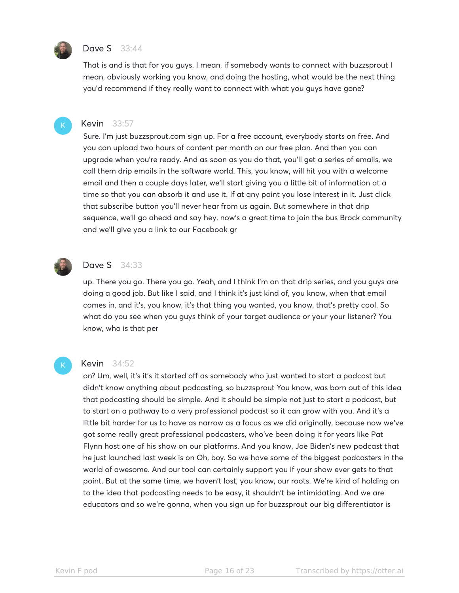

#### **Dave S** 33:44

That is and is that for you guys. I mean, if somebody wants to connect with buzzsprout I mean, obviously working you know, and doing the hosting, what would be the next thing you'd recommend if they really want to connect with what you guys have gone?



#### Kevin 33:57

Sure. I'm just buzzsprout.com sign up. For a free account, everybody starts on free. And you can upload two hours of content per month on our free plan. And then you can upgrade when you're ready. And as soon as you do that, you'll get a series of emails, we call them drip emails in the software world. This, you know, will hit you with a welcome email and then a couple days later, we'll start giving you a little bit of information at a time so that you can absorb it and use it. If at any point you lose interest in it. Just click that subscribe button you'll never hear from us again. But somewhere in that drip sequence, we'll go ahead and say hey, now's a great time to join the bus Brock community and we'll give you a link to our Facebook gr



#### **Dave S** 34:33

up. There you go. There you go. Yeah, and I think I'm on that drip series, and you guys are doing a good job. But like I said, and I think it's just kind of, you know, when that email comes in, and it's, you know, it's that thing you wanted, you know, that's pretty cool. So what do you see when you guys think of your target audience or your your listener? You know, who is that per

#### Kevin 34:52

on? Um, well, it's it's it started off as somebody who just wanted to start a podcast but didn't know anything about podcasting, so buzzsprout You know, was born out of this idea that podcasting should be simple. And it should be simple not just to start a podcast, but to start on a pathway to a very professional podcast so it can grow with you. And it's a little bit harder for us to have as narrow as a focus as we did originally, because now we've got some really great professional podcasters, who've been doing it for years like Pat Flynn host one of his show on our platforms. And you know, Joe Biden's new podcast that he just launched last week is on Oh, boy. So we have some of the biggest podcasters in the world of awesome. And our tool can certainly support you if your show ever gets to that point. But at the same time, we haven't lost, you know, our roots. We're kind of holding on to the idea that podcasting needs to be easy, it shouldn't be intimidating. And we are educators and so we're gonna, when you sign up for buzzsprout our big differentiator is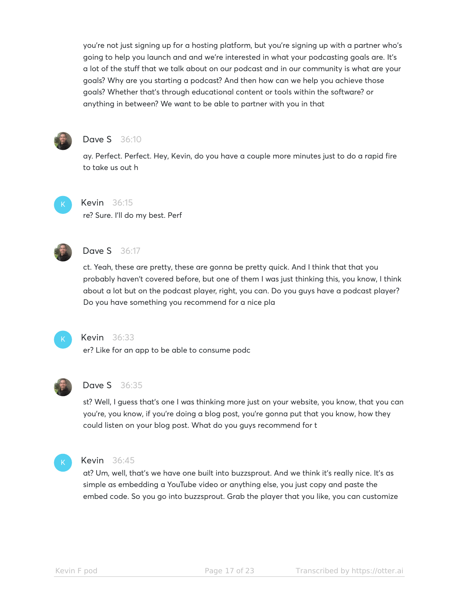you're not just signing up for a hosting platform, but you're signing up with a partner who's going to help you launch and and we're interested in what your podcasting goals are. It's a lot of the stuff that we talk about on our podcast and in our community is what are your goals? Why are you starting a podcast? And then how can we help you achieve those goals? Whether that's through educational content or tools within the software? or anything in between? We want to be able to partner with you in that



# **Dave S** 36:10

ay. Perfect. Perfect. Hey, Kevin, do you have a couple more minutes just to do a rapid fire to take us out h



# Kevin 36:15

re? Sure. I'll do my best. Perf



# **Dave S** 36:17

ct. Yeah, these are pretty, these are gonna be pretty quick. And I think that that you probably haven't covered before, but one of them I was just thinking this, you know, I think about a lot but on the podcast player, right, you can. Do you guys have a podcast player? Do you have something you recommend for a nice pla



# Kevin 36:33

er? Like for an app to be able to consume podc



# **Dave S** 36:35

st? Well, I guess that's one I was thinking more just on your website, you know, that you can you're, you know, if you're doing a blog post, you're gonna put that you know, how they could listen on your blog post. What do you guys recommend for t



#### Kevin 36:45

at? Um, well, that's we have one built into buzzsprout. And we think it's really nice. It's as simple as embedding a YouTube video or anything else, you just copy and paste the embed code. So you go into buzzsprout. Grab the player that you like, you can customize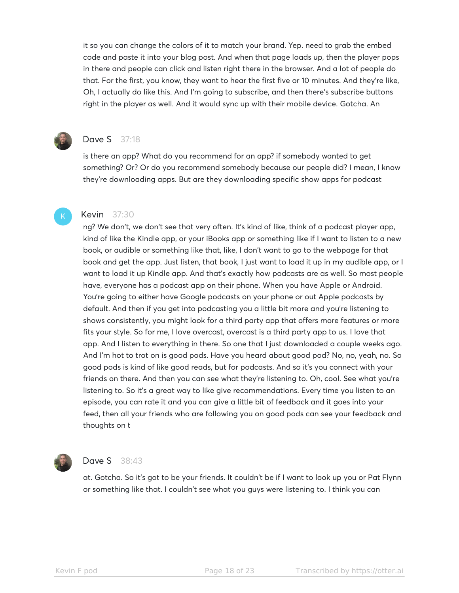it so you can change the colors of it to match your brand. Yep. need to grab the embed code and paste it into your blog post. And when that page loads up, then the player pops in there and people can click and listen right there in the browser. And a lot of people do that. For the first, you know, they want to hear the first five or 10 minutes. And they're like, Oh, I actually do like this. And I'm going to subscribe, and then there's subscribe buttons right in the player as well. And it would sync up with their mobile device. Gotcha. An



# **Dave S** 37:18

is there an app? What do you recommend for an app? if somebody wanted to get something? Or? Or do you recommend somebody because our people did? I mean, I know they're downloading apps. But are they downloading specific show apps for podcast

#### Kevin 37:30

ng? We don't, we don't see that very often. It's kind of like, think of a podcast player app, kind of like the Kindle app, or your iBooks app or something like if I want to listen to a new book, or audible or something like that, like, I don't want to go to the webpage for that book and get the app. Just listen, that book, I just want to load it up in my audible app, or I want to load it up Kindle app. And that's exactly how podcasts are as well. So most people have, everyone has a podcast app on their phone. When you have Apple or Android. You're going to either have Google podcasts on your phone or out Apple podcasts by default. And then if you get into podcasting you a little bit more and you're listening to shows consistently, you might look for a third party app that offers more features or more fits your style. So for me, I love overcast, overcast is a third party app to us. I love that app. And I listen to everything in there. So one that I just downloaded a couple weeks ago. And I'm hot to trot on is good pods. Have you heard about good pod? No, no, yeah, no. So good pods is kind of like good reads, but for podcasts. And so it's you connect with your friends on there. And then you can see what they're listening to. Oh, cool. See what you're listening to. So it's a great way to like give recommendations. Every time you listen to an episode, you can rate it and you can give a little bit of feedback and it goes into your feed, then all your friends who are following you on good pods can see your feedback and thoughts on t



#### Dave S 38:43

at. Gotcha. So it's got to be your friends. It couldn't be if I want to look up you or Pat Flynn or something like that. I couldn't see what you guys were listening to. I think you can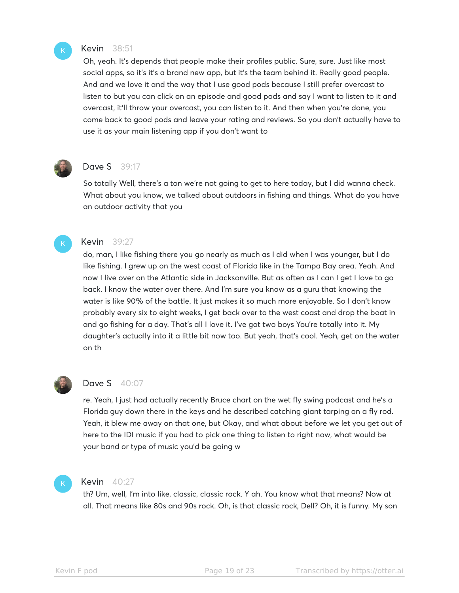

#### Kevin 38:51

Oh, yeah. It's depends that people make their profiles public. Sure, sure. Just like most social apps, so it's it's a brand new app, but it's the team behind it. Really good people. And and we love it and the way that I use good pods because I still prefer overcast to listen to but you can click on an episode and good pods and say I want to listen to it and overcast, it'll throw your overcast, you can listen to it. And then when you're done, you come back to good pods and leave your rating and reviews. So you don't actually have to use it as your main listening app if you don't want to



# Dave S 39:17

So totally Well, there's a ton we're not going to get to here today, but I did wanna check. What about you know, we talked about outdoors in fishing and things. What do you have an outdoor activity that you

# Kevin 39:27

do, man, I like fishing there you go nearly as much as I did when I was younger, but I do like fishing. I grew up on the west coast of Florida like in the Tampa Bay area. Yeah. And now I live over on the Atlantic side in Jacksonville. But as often as I can I get I love to go back. I know the water over there. And I'm sure you know as a guru that knowing the water is like 90% of the battle. It just makes it so much more enjoyable. So I don't know probably every six to eight weeks, I get back over to the west coast and drop the boat in and go fishing for a day. That's all I love it. I've got two boys You're totally into it. My daughter's actually into it a little bit now too. But yeah, that's cool. Yeah, get on the water on th



# **Dave S** 40:07

re. Yeah, I just had actually recently Bruce chart on the wet fly swing podcast and he's a Florida guy down there in the keys and he described catching giant tarping on a fly rod. Yeah, it blew me away on that one, but Okay, and what about before we let you get out of here to the IDI music if you had to pick one thing to listen to right now, what would be your band or type of music you'd be going w



#### **Kevin** 40:27

th? Um, well, I'm into like, classic, classic rock. Y ah. You know what that means? Now at all. That means like 80s and 90s rock. Oh, is that classic rock, Dell? Oh, it is funny. My son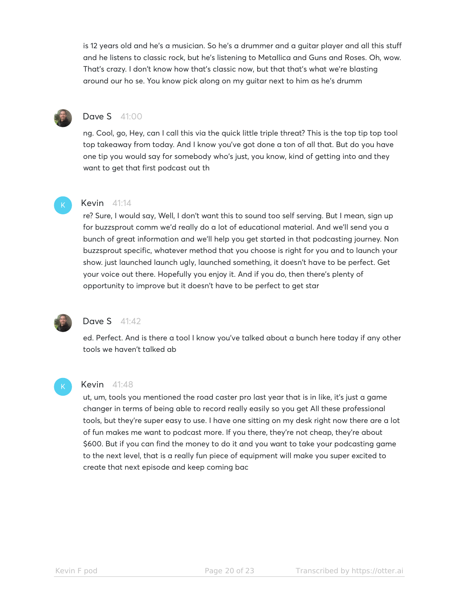is 12 years old and he's a musician. So he's a drummer and a guitar player and all this stuff and he listens to classic rock, but he's listening to Metallica and Guns and Roses. Oh, wow. That's crazy. I don't know how that's classic now, but that that's what we're blasting around our ho se. You know pick along on my guitar next to him as he's drumm



# Dave S 41:00

ng. Cool, go, Hey, can I call this via the quick little triple threat? This is the top tip top tool top takeaway from today. And I know you've got done a ton of all that. But do you have one tip you would say for somebody who's just, you know, kind of getting into and they want to get that first podcast out th

#### **Kevin** 41:14

re? Sure, I would say, Well, I don't want this to sound too self serving. But I mean, sign up for buzzsprout comm we'd really do a lot of educational material. And we'll send you a bunch of great information and we'll help you get started in that podcasting journey. Non buzzsprout specific, whatever method that you choose is right for you and to launch your show. just launched launch ugly, launched something, it doesn't have to be perfect. Get your voice out there. Hopefully you enjoy it. And if you do, then there's plenty of opportunity to improve but it doesn't have to be perfect to get star



# **Dave S** 41:42

ed. Perfect. And is there a tool I know you've talked about a bunch here today if any other tools we haven't talked ab

#### **Kevin** 41:48

ut, um, tools you mentioned the road caster pro last year that is in like, it's just a game changer in terms of being able to record really easily so you get All these professional tools, but they're super easy to use. I have one sitting on my desk right now there are a lot of fun makes me want to podcast more. If you there, they're not cheap, they're about \$600. But if you can find the money to do it and you want to take your podcasting game to the next level, that is a really fun piece of equipment will make you super excited to create that next episode and keep coming bac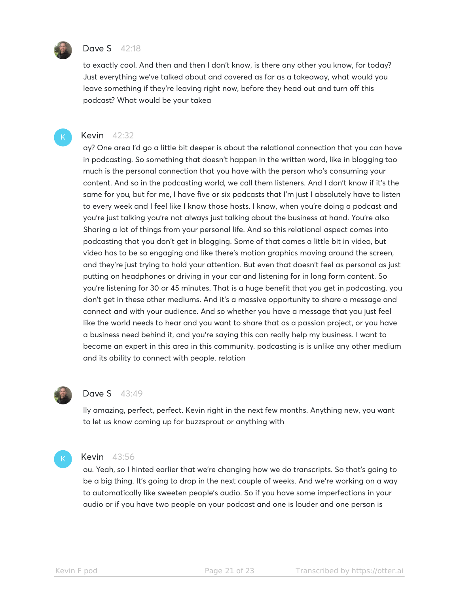

#### **Dave S** 42:18

to exactly cool. And then and then I don't know, is there any other you know, for today? Just everything we've talked about and covered as far as a takeaway, what would you leave something if they're leaving right now, before they head out and turn off this podcast? What would be your takea

#### Kevin 42:32

ay? One area I'd go a little bit deeper is about the relational connection that you can have in podcasting. So something that doesn't happen in the written word, like in blogging too much is the personal connection that you have with the person who's consuming your content. And so in the podcasting world, we call them listeners. And I don't know if it's the same for you, but for me, I have five or six podcasts that I'm just I absolutely have to listen to every week and I feel like I know those hosts. I know, when you're doing a podcast and you're just talking you're not always just talking about the business at hand. You're also Sharing a lot of things from your personal life. And so this relational aspect comes into podcasting that you don't get in blogging. Some of that comes a little bit in video, but video has to be so engaging and like there's motion graphics moving around the screen, and they're just trying to hold your attention. But even that doesn't feel as personal as just putting on headphones or driving in your car and listening for in long form content. So you're listening for 30 or 45 minutes. That is a huge benefit that you get in podcasting, you don't get in these other mediums. And it's a massive opportunity to share a message and connect and with your audience. And so whether you have a message that you just feel like the world needs to hear and you want to share that as a passion project, or you have a business need behind it, and you're saying this can really help my business. I want to become an expert in this area in this community. podcasting is is unlike any other medium and its ability to connect with people. relation



#### Dave S 43:49

lly amazing, perfect, perfect. Kevin right in the next few months. Anything new, you want to let us know coming up for buzzsprout or anything with



#### Kevin 43:56

ou. Yeah, so I hinted earlier that we're changing how we do transcripts. So that's going to be a big thing. It's going to drop in the next couple of weeks. And we're working on a way to automatically like sweeten people's audio. So if you have some imperfections in your audio or if you have two people on your podcast and one is louder and one person is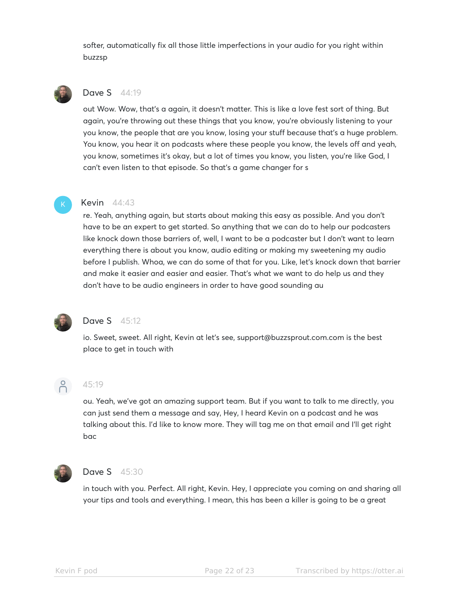softer, automatically fix all those little imperfections in your audio for you right within buzzsp



# Dave S 44:19

out Wow. Wow, that's a again, it doesn't matter. This is like a love fest sort of thing. But again, you're throwing out these things that you know, you're obviously listening to your you know, the people that are you know, losing your stuff because that's a huge problem. You know, you hear it on podcasts where these people you know, the levels off and yeah, you know, sometimes it's okay, but a lot of times you know, you listen, you're like God, I can't even listen to that episode. So that's a game changer for s

#### Kevin 44:43

re. Yeah, anything again, but starts about making this easy as possible. And you don't have to be an expert to get started. So anything that we can do to help our podcasters like knock down those barriers of, well, I want to be a podcaster but I don't want to learn everything there is about you know, audio editing or making my sweetening my audio before I publish. Whoa, we can do some of that for you. Like, let's knock down that barrier and make it easier and easier and easier. That's what we want to do help us and they don't have to be audio engineers in order to have good sounding au



# **Dave S** 45:12

io. Sweet, sweet. All right, Kevin at let's see, support@buzzsprout.com.com is the best place to get in touch with



#### 45:19

ou. Yeah, we've got an amazing support team. But if you want to talk to me directly, you can just send them a message and say, Hey, I heard Kevin on a podcast and he was talking about this. I'd like to know more. They will tag me on that email and I'll get right bac



#### **Dave S** 45:30

in touch with you. Perfect. All right, Kevin. Hey, I appreciate you coming on and sharing all your tips and tools and everything. I mean, this has been a killer is going to be a great